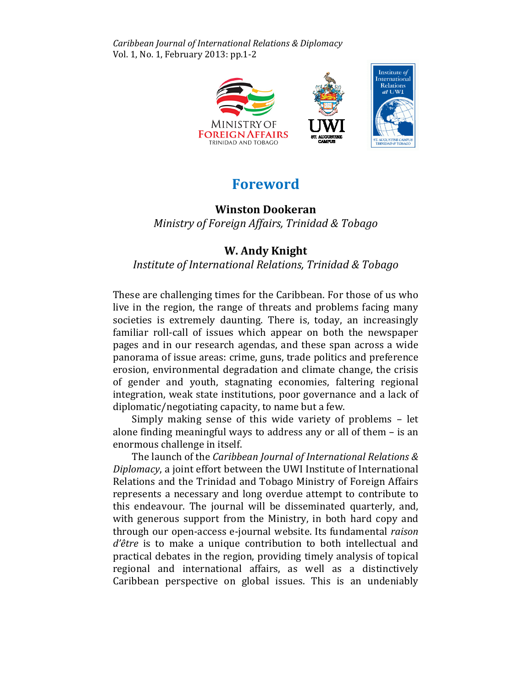Caribbean Journal of International Relations & Diplomacy Vol. 1, No. 1, February 2013: pp.1-2



## Foreword

## Winston Dookeran

Ministry of Foreign Affairs, Trinidad & Tobago Tobago

## W. Andy Knight

## Institute of International Relations, Trinidad & Tobago

These are challenging times for the Caribbean. For those of us who live in the region, the range of threats and problems facing many societies is extremely daunting. There is, today, an increasingly familiar roll-call of issues which appear on both the newspaper pages and in our research agendas, and these span across a wide panorama of issue areas: crime, guns, trade politics and preference erosion, environmental degradation and climate change, the crisis of gender and youth, stagnating economies, faltering regional integration, weak state institutions, poor governance and a lack of diplomatic/negotiating capacity, to name but a few.

omatic/negotiating capacity, to name but a few.<br>Simply making sense of this wide variety of problems – let alone finding meaningful ways to address any or all of them - is an enormous challenge in itself.

The launch of the Caribbean Journal of International Relations  $\&$ Diplomacy, a joint effort between the UWI Institute of International Relations and the Trinidad and Tobago Ministry of Foreign Affairs Affairs represents a necessary and long overdue attempt to contribute to this endeavour. The journal will be disseminated quarterly, and, this endeavour. The journal will be disseminated quarterly, and,<br>with generous support from the Ministry, in both hard copy and through our open-access e-journal website. Its fundamental raison  $d\hat{e}$ tre is to make a unique contribution to both intellectual and practical debates in the region, providing timely analysis of topical regional and international affairs, as well as a distinctively Caribbean perspective on global issues. This is an undeniably